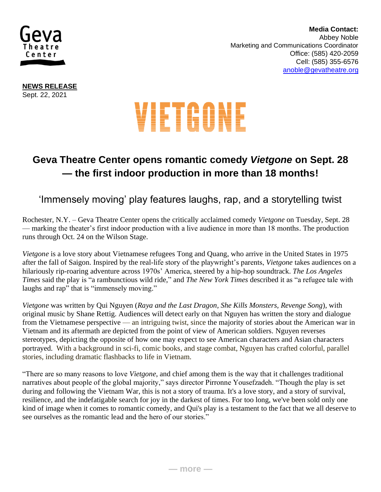

 **Media Contact:**  Abbey Noble **Marketing and Communications Coordinator** Office: (585) 420-2059 Cell: (585) 355-6576 [anoble@gevatheatre.org](mailto:anoble@gevatheatre.org)

**NEWS RELEASE** Sept. 22, 2021

# VIETGONE

## **Geva Theatre Center opens romantic comedy** *Vietgone* **on Sept. 28 — the first indoor production in more than 18 months!**

### 'Immensely moving' play features laughs, rap, and a storytelling twist

Rochester, N.Y. – Geva Theatre Center opens the critically acclaimed comedy *Vietgone* on Tuesday, Sept. 28 — marking the theater's first indoor production with a live audience in more than 18 months. The production runs through Oct. 24 on the Wilson Stage.

*Vietgone* is a love story about Vietnamese refugees Tong and Quang, who arrive in the United States in 1975 after the fall of Saigon. Inspired by the real-life story of the playwright's parents, *Vietgone* takes audiences on a hilariously rip-roaring adventure across 1970s' America, steered by a hip-hop soundtrack. *The Los Angeles Times* said the play is "a rambunctious wild ride," and *The New York Times* described it as "a refugee tale with laughs and rap" that is "immensely moving."

*Vietgone* was written by Qui Nguyen (*Raya and the Last Dragon, She Kills Monsters, Revenge Song*), with original music by Shane Rettig. Audiences will detect early on that Nguyen has written the story and dialogue from the Vietnamese perspective — an intriguing twist, since the majority of stories about the American war in Vietnam and its aftermath are depicted from the point of view of American soldiers. Nguyen reverses stereotypes, depicting the opposite of how one may expect to see American characters and Asian characters portrayed. With a background in sci-fi, comic books, and stage combat, Nguyen has crafted colorful, parallel stories, including dramatic flashbacks to life in Vietnam.

"There are so many reasons to love *Vietgone*, and chief among them is the way that it challenges traditional narratives about people of the global majority," says director Pirronne Yousefzadeh. "Though the play is set during and following the Vietnam War, this is not a story of trauma. It's a love story, and a story of survival, resilience, and the indefatigable search for joy in the darkest of times. For too long, we've been sold only one kind of image when it comes to romantic comedy, and Qui's play is a testament to the fact that we all deserve to see ourselves as the romantic lead and the hero of our stories."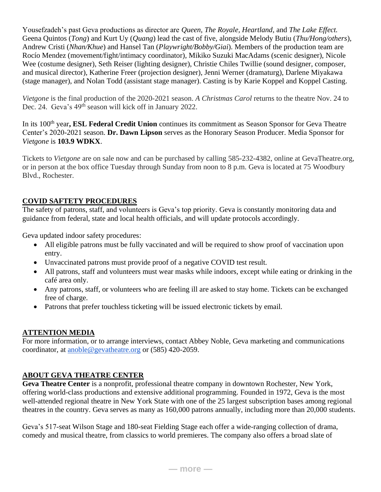Yousefzadeh's past Geva productions as director are *Queen, The Royale, Heartland,* and *The Lake Effect.*  Geena Quintos (*Tong*) and Kurt Uy (*Quang*) lead the cast of five, alongside Melody Butiu (*Thu/Hong/others*), Andrew Cristi (*Nhan/Khue*) and Hansel Tan (*Playwright/Bobby/Giai*). Members of the production team are Rocío Mendez (movement/fight/intimacy coordinator), Mikiko Suzuki MacAdams (scenic designer), Nicole Wee (costume designer), Seth Reiser (lighting designer), Christie Chiles Twillie (sound designer, composer, and musical director), Katherine Freer (projection designer), Jenni Werner (dramaturg), Darlene Miyakawa (stage manager), and Nolan Todd (assistant stage manager). Casting is by Karie Koppel and Koppel Casting.

*Vietgone* is the final production of the 2020-2021 season. *A Christmas Carol* returns to the theatre Nov. 24 to Dec. 24. Geva's 49<sup>th</sup> season will kick off in January 2022.

In its 100th year**, ESL Federal Credit Union** continues its commitment as Season Sponsor for Geva Theatre Center's 2020-2021 season. **Dr. Dawn Lipson** serves as the Honorary Season Producer. Media Sponsor for *Vietgone* is **103.9 WDKX**.

Tickets to *Vietgone* are on sale now and can be purchased by calling 585-232-4382, online at GevaTheatre.org, or in person at the box office Tuesday through Sunday from noon to 8 p.m. Geva is located at 75 Woodbury Blvd., Rochester.

#### **COVID SAFTETY PROCEDURES**

The safety of patrons, staff, and volunteers is Geva's top priority. Geva is constantly monitoring data and guidance from federal, state and local health officials, and will update protocols accordingly.

Geva updated indoor safety procedures:

- All eligible patrons must be fully vaccinated and will be required to show proof of vaccination upon entry.
- Unvaccinated patrons must provide proof of a negative COVID test result.
- All patrons, staff and volunteers must wear masks while indoors, except while eating or drinking in the café area only.
- Any patrons, staff, or volunteers who are feeling ill are asked to stay home. Tickets can be exchanged free of charge.
- Patrons that prefer touchless ticketing will be issued electronic tickets by email.

#### **ATTENTION MEDIA**

For more information, or to arrange interviews, contact Abbey Noble, Geva marketing and communications coordinator, at [anoble@gevatheatre.org](mailto:anoble@gevatheatre.org) or (585) 420-2059.

#### **ABOUT GEVA THEATRE CENTER**

**Geva Theatre Center** is a nonprofit, professional theatre company in downtown Rochester, New York, offering world-class productions and extensive additional programming. Founded in 1972, Geva is the most well-attended regional theatre in New York State with one of the 25 largest subscription bases among regional theatres in the country. Geva serves as many as 160,000 patrons annually, including more than 20,000 students.

Geva's 517-seat Wilson Stage and 180-seat Fielding Stage each offer a wide-ranging collection of drama, comedy and musical theatre, from classics to world premieres. The company also offers a broad slate of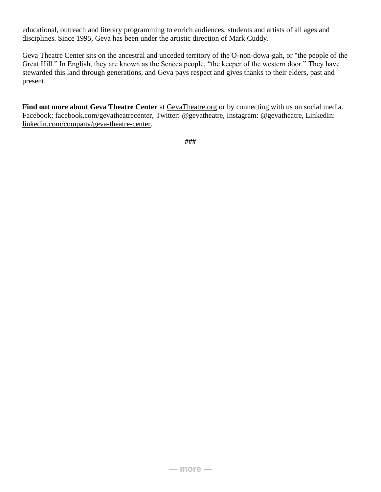educational, outreach and literary programming to enrich audiences, students and artists of all ages and disciplines. Since 1995, Geva has been under the artistic direction of Mark Cuddy.

Geva Theatre Center sits on the ancestral and unceded territory of the O-non-dowa-gah, or "the people of the Great Hill." In English, they are known as the Seneca people, "the keeper of the western door." They have stewarded this land through generations, and Geva pays respect and gives thanks to their elders, past and present.

Find out more about Geva Theatre Center at **GevaTheatre.org** or by connecting with us on social media. Facebook: [facebook.com/gevatheatrecenter,](https://www.facebook.com/gevatheatrecenter) Twitter: [@gevatheatre,](http://instagram.com/gevatheatre) Instagram: @gevatheatre, LinkedIn: [linkedin.com/company/geva-theatre-center.](https://www.linkedin.com/company/geva-theatre-center)

**###**